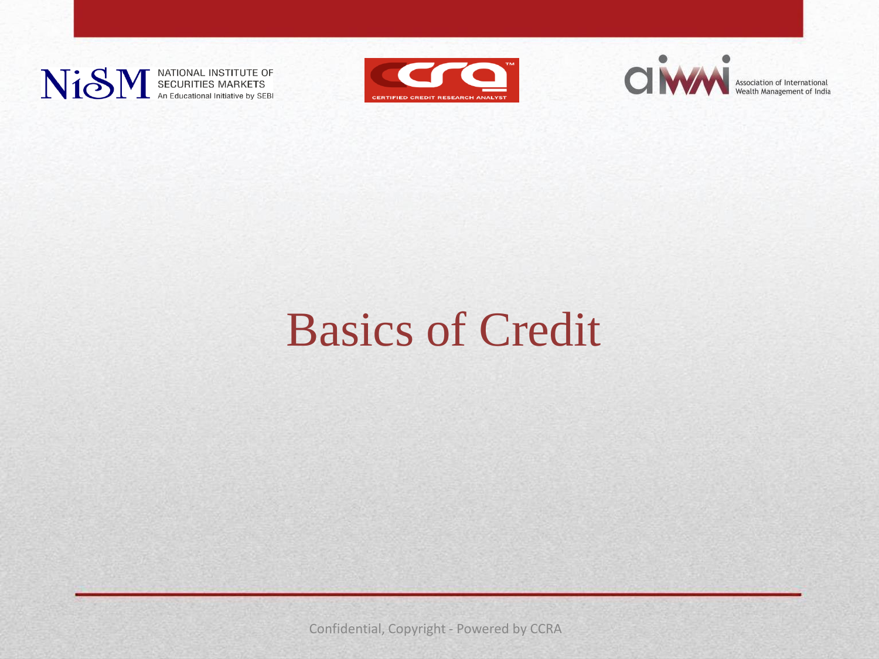



Association of International<br>Wealth Management of India

## Basics of Credit

Confidential, Copyright - Powered by CCRA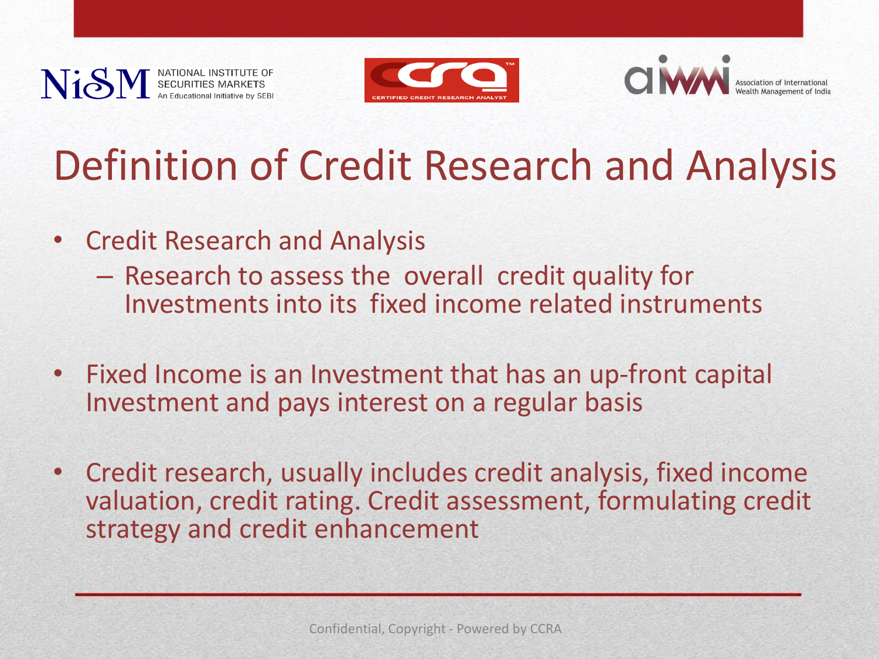



## Definition of Credit Research and Analysis

- Credit Research and Analysis
	- Research to assess the overall credit quality for Investments into its fixed income related instruments
- Fixed Income is an Investment that has an up-front capital Investment and pays interest on a regular basis
- Credit research, usually includes credit analysis, fixed income valuation, credit rating. Credit assessment, formulating credit strategy and credit enhancement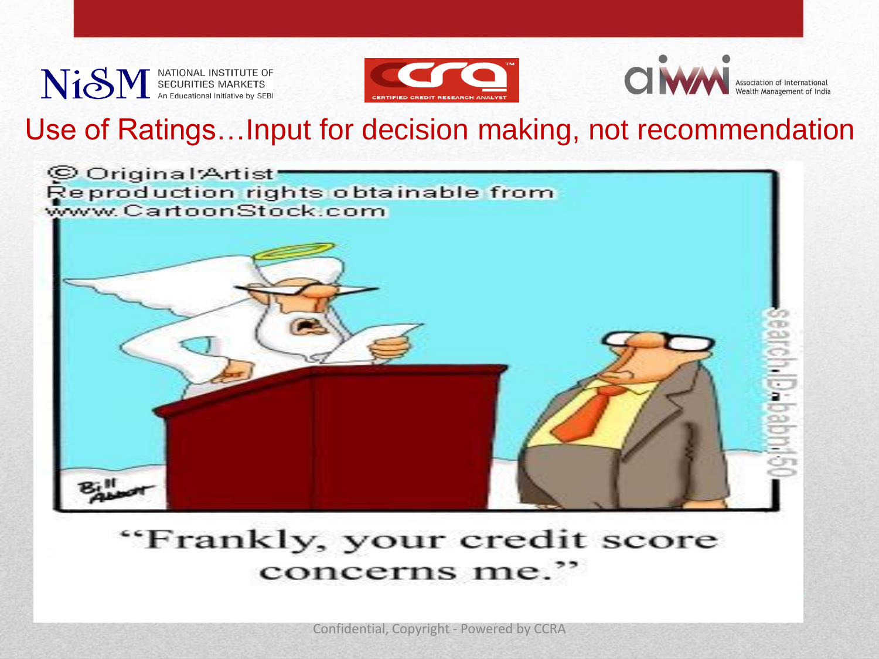



### Use of Ratings…Input for decision making, not recommendation



### "Frankly, your credit score concerns me."

Confidential, Copyright - Powered by CCRA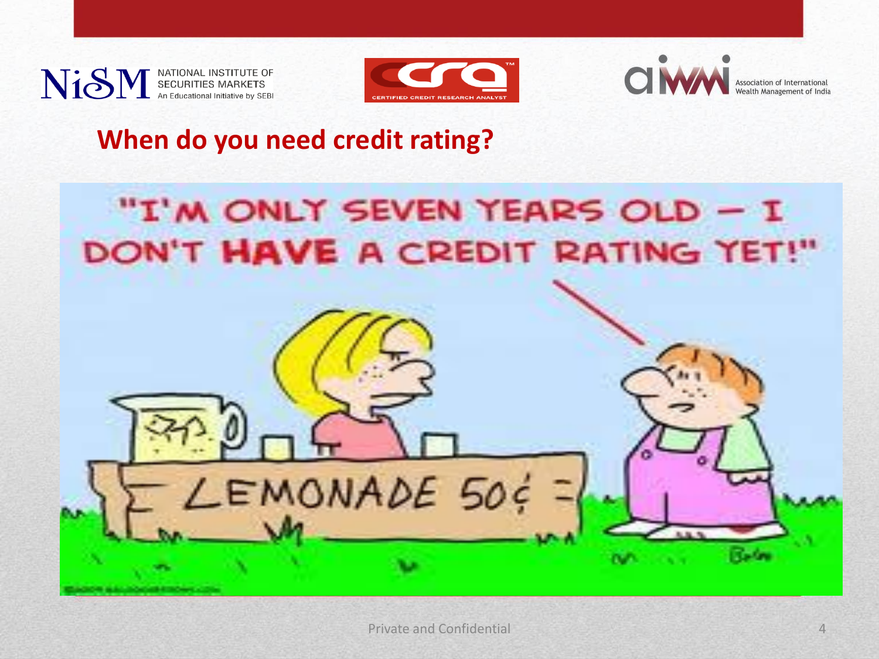



### Association of International

### **When do you need credit rating?**



Private and Confidential 4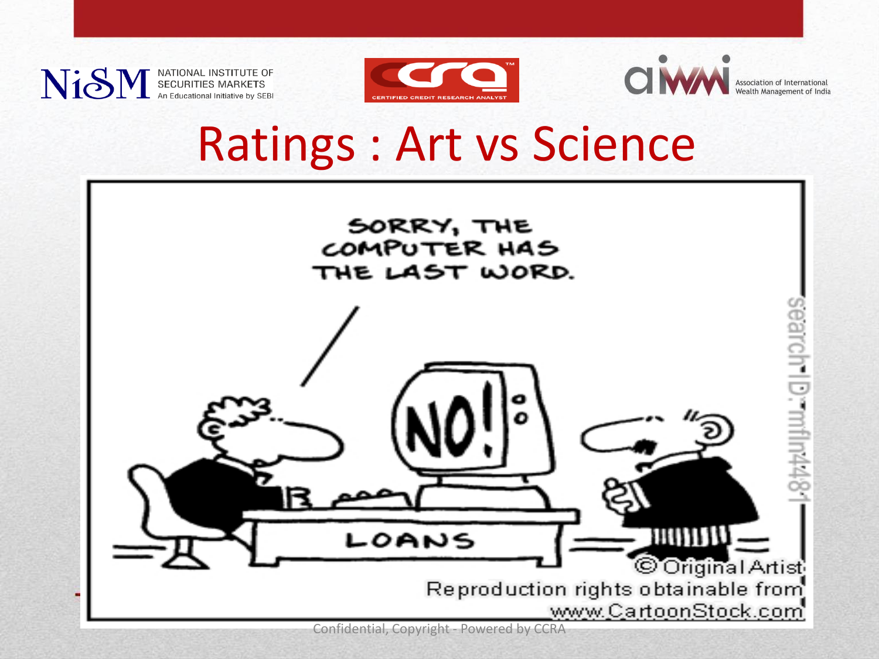



Association of International

## Ratings : Art vs Science

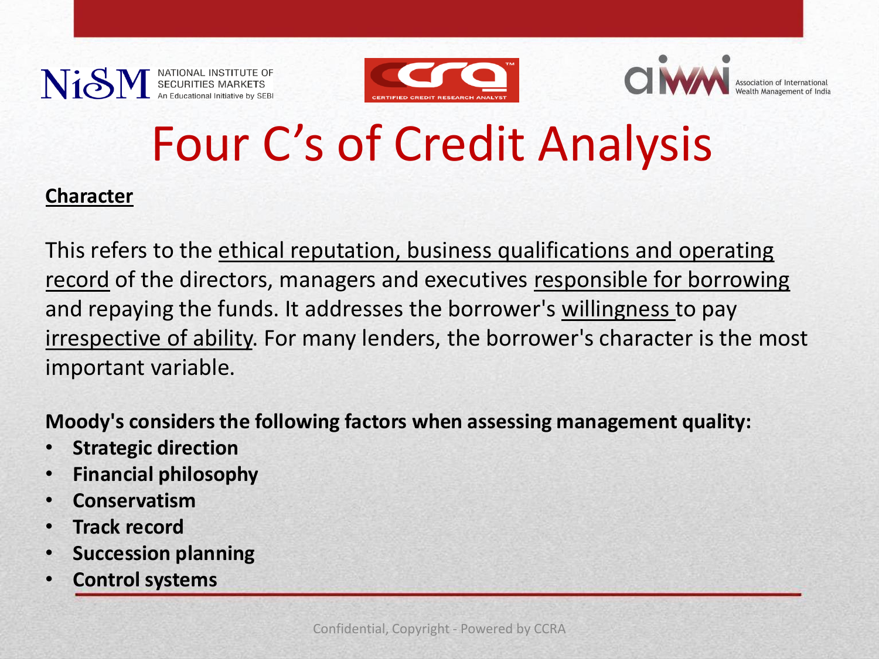



## Four C's of Credit Analysis

### **Character**

This refers to the ethical reputation, business qualifications and operating record of the directors, managers and executives responsible for borrowing and repaying the funds. It addresses the borrower's willingness to pay irrespective of ability. For many lenders, the borrower's character is the most important variable.

**Moody's considers the following factors when assessing management quality:**

- **Strategic direction**
- **Financial philosophy**
- **Conservatism**
- **Track record**
- **Succession planning**
- **Control systems**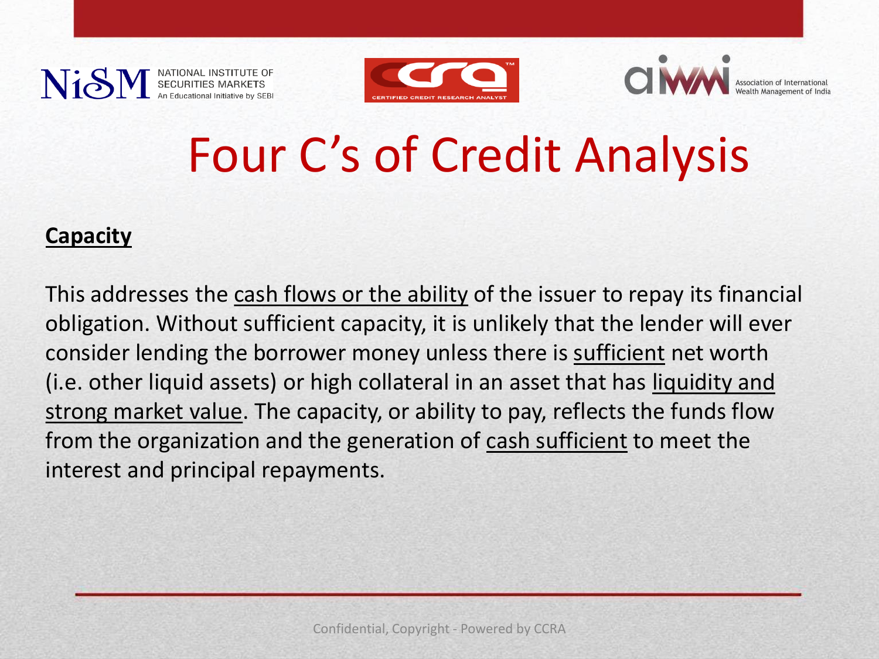Nis





## Four C's of Credit Analysis

### **Capacity**

This addresses the cash flows or the ability of the issuer to repay its financial obligation. Without sufficient capacity, it is unlikely that the lender will ever consider lending the borrower money unless there is sufficient net worth (i.e. other liquid assets) or high collateral in an asset that has liquidity and strong market value. The capacity, or ability to pay, reflects the funds flow from the organization and the generation of cash sufficient to meet the interest and principal repayments.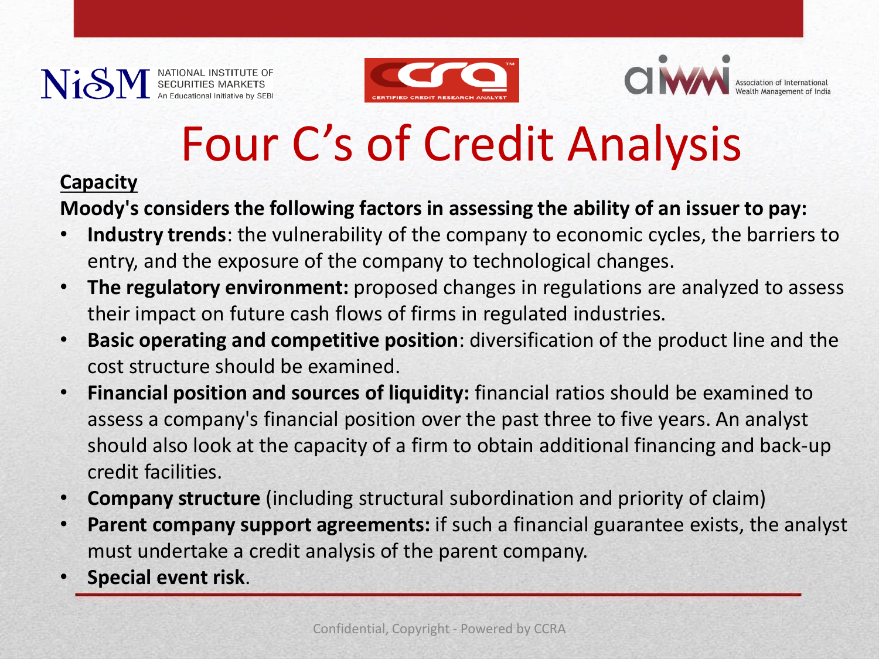



## Four C's of Credit Analysis

### **Capacity**

**Moody's considers the following factors in assessing the ability of an issuer to pay:**

- **Industry trends**: the vulnerability of the company to economic cycles, the barriers to entry, and the exposure of the company to technological changes.
- **The regulatory environment:** proposed changes in regulations are analyzed to assess their impact on future cash flows of firms in regulated industries.
- **Basic operating and competitive position**: diversification of the product line and the cost structure should be examined.
- **Financial position and sources of liquidity:** financial ratios should be examined to assess a company's financial position over the past three to five years. An analyst should also look at the capacity of a firm to obtain additional financing and back-up credit facilities.
- **Company structure** (including structural subordination and priority of claim)
- **Parent company support agreements:** if such a financial guarantee exists, the analyst must undertake a credit analysis of the parent company.
- **Special event risk**.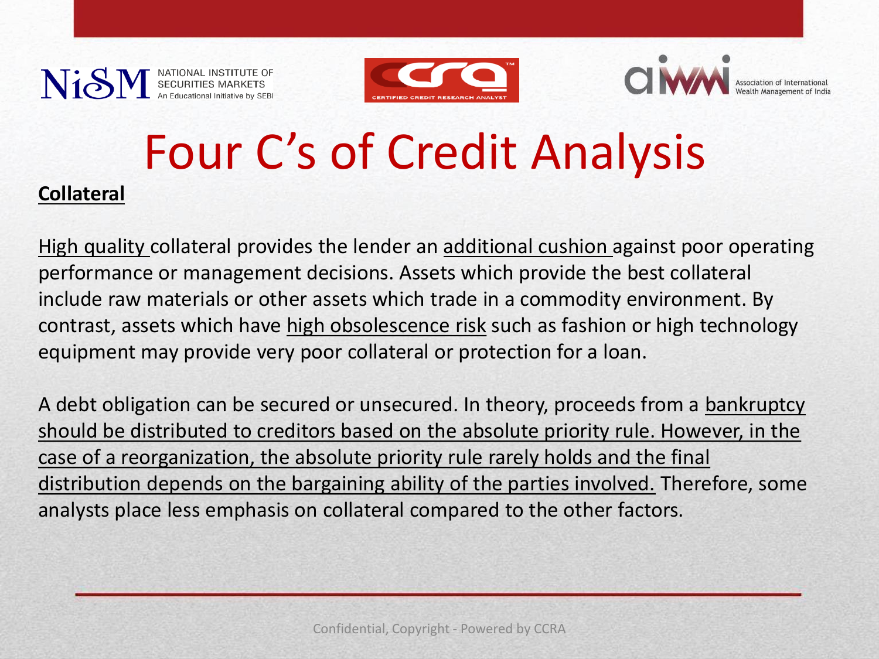Ni<sub>o</sub>SI NATIONAL INSTITUTE OF<br>SECURITIES MARKETS





# Four C's of Credit Analysis

### **Collateral**

High quality collateral provides the lender an additional cushion against poor operating performance or management decisions. Assets which provide the best collateral include raw materials or other assets which trade in a commodity environment. By contrast, assets which have high obsolescence risk such as fashion or high technology equipment may provide very poor collateral or protection for a loan.

A debt obligation can be secured or unsecured. In theory, proceeds from a bankruptcy should be distributed to creditors based on the absolute priority rule. However, in the case of a reorganization, the absolute priority rule rarely holds and the final distribution depends on the bargaining ability of the parties involved. Therefore, some analysts place less emphasis on collateral compared to the other factors.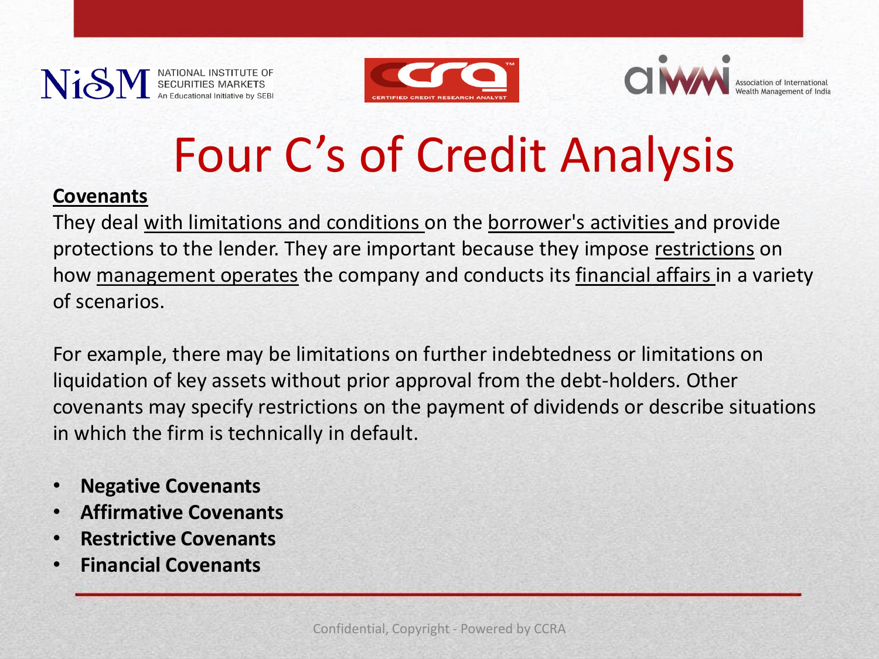



# Four C's of Credit Analysis

### **Covenants**

They deal with limitations and conditions on the borrower's activities and provide protections to the lender. They are important because they impose restrictions on how management operates the company and conducts its financial affairs in a variety of scenarios.

For example, there may be limitations on further indebtedness or limitations on liquidation of key assets without prior approval from the debt-holders. Other covenants may specify restrictions on the payment of dividends or describe situations in which the firm is technically in default.

- **Negative Covenants**
- **Affirmative Covenants**
- **Restrictive Covenants**
- **Financial Covenants**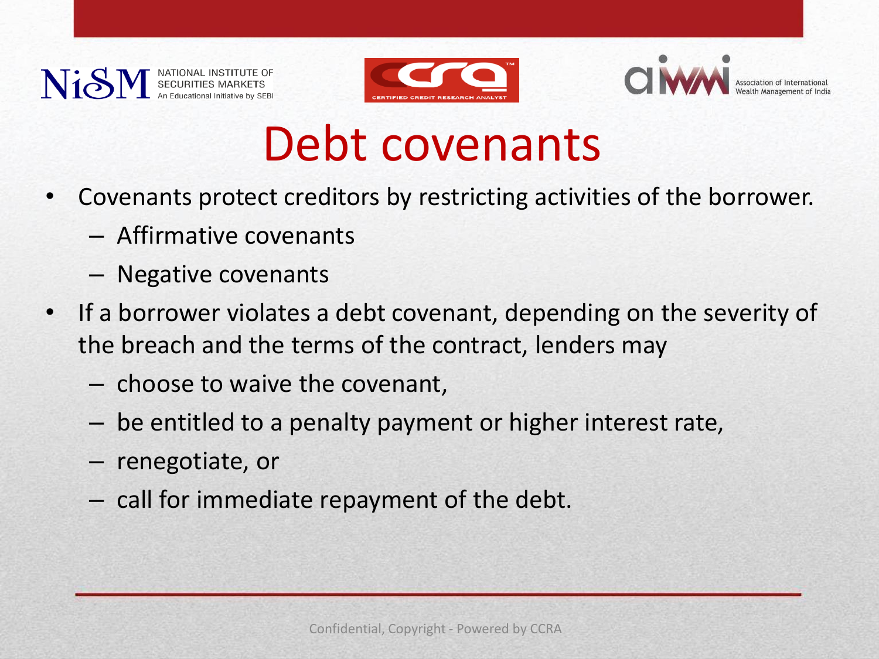



## Debt covenants

- Covenants protect creditors by restricting activities of the borrower.
	- Affirmative covenants
	- Negative covenants
- If a borrower violates a debt covenant, depending on the severity of the breach and the terms of the contract, lenders may
	- choose to waive the covenant,
	- be entitled to a penalty payment or higher interest rate,
	- renegotiate, or
	- call for immediate repayment of the debt.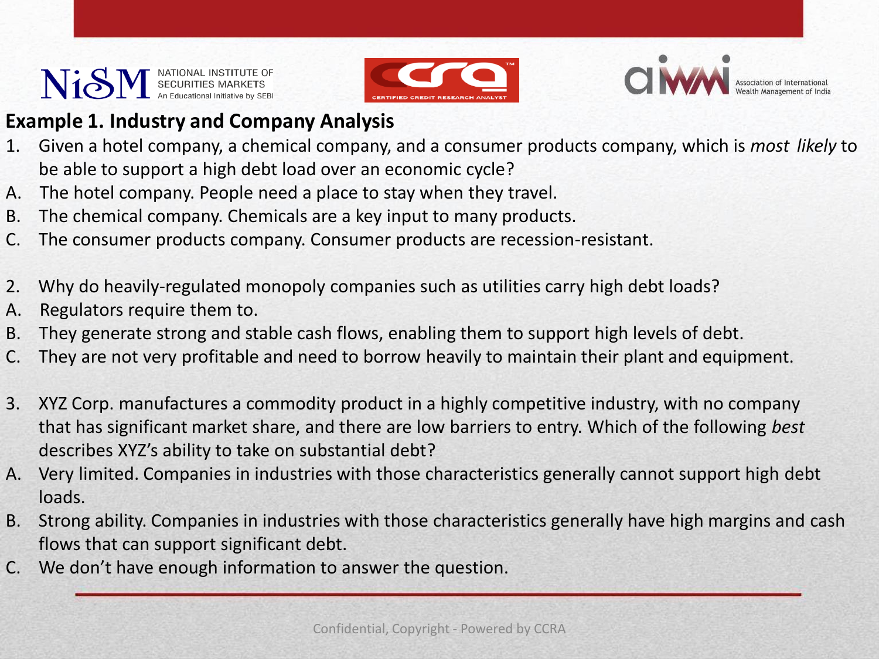



### **Example 1. Industry and Company Analysis**

- 1. Given a hotel company, a chemical company, and a consumer products company, which is *most likely* to be able to support a high debt load over an economic cycle?
- A. The hotel company. People need a place to stay when they travel.
- B. The chemical company. Chemicals are a key input to many products.
- C. The consumer products company. Consumer products are recession-resistant.
- 2. Why do heavily-regulated monopoly companies such as utilities carry high debt loads?
- A. Regulators require them to.
- B. They generate strong and stable cash flows, enabling them to support high levels of debt.
- C. They are not very profitable and need to borrow heavily to maintain their plant and equipment.
- 3. XYZ Corp. manufactures a commodity product in a highly competitive industry, with no company that has significant market share, and there are low barriers to entry. Which of the following *best* describes XYZ's ability to take on substantial debt?
- A. Very limited. Companies in industries with those characteristics generally cannot support high debt loads.
- B. Strong ability. Companies in industries with those characteristics generally have high margins and cash flows that can support significant debt.
- C. We don't have enough information to answer the question.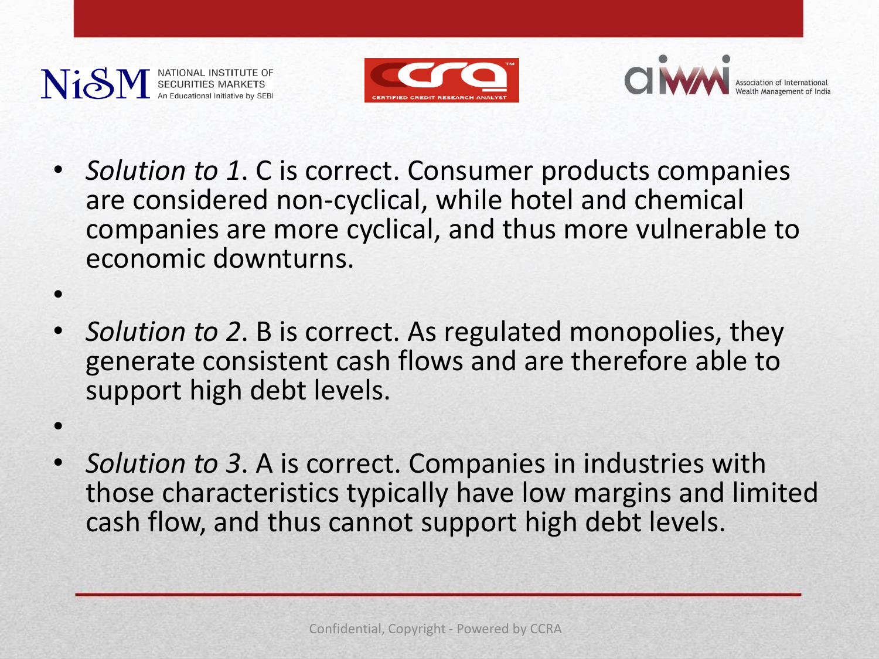•

•





- *Solution to 1*. C is correct. Consumer products companies are considered non-cyclical, while hotel and chemical companies are more cyclical, and thus more vulnerable to economic downturns.
- *Solution to 2*. B is correct. As regulated monopolies, they generate consistent cash flows and are therefore able to support high debt levels.
- *Solution to 3*. A is correct. Companies in industries with those characteristics typically have low margins and limited cash flow, and thus cannot support high debt levels.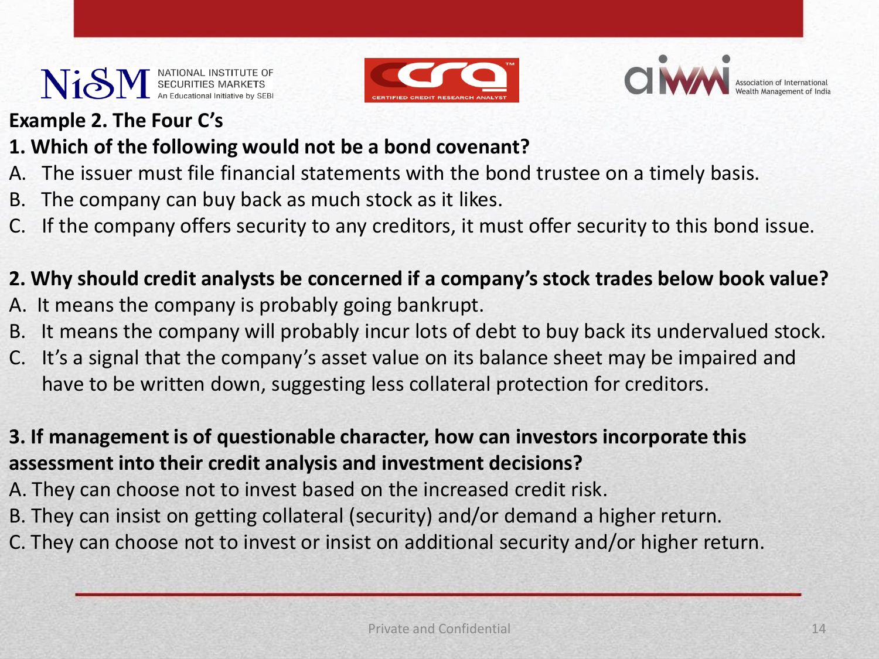



### **Example 2. The Four C's**

- **1. Which of the following would not be a bond covenant?**
- A. The issuer must file financial statements with the bond trustee on a timely basis.
- B. The company can buy back as much stock as it likes.
- C. If the company offers security to any creditors, it must offer security to this bond issue.

### **2. Why should credit analysts be concerned if a company's stock trades below book value?**

- A. It means the company is probably going bankrupt.
- B. It means the company will probably incur lots of debt to buy back its undervalued stock.
- C. It's a signal that the company's asset value on its balance sheet may be impaired and have to be written down, suggesting less collateral protection for creditors.

### **3. If management is of questionable character, how can investors incorporate this assessment into their credit analysis and investment decisions?**

- A. They can choose not to invest based on the increased credit risk.
- B. They can insist on getting collateral (security) and/or demand a higher return.
- C. They can choose not to invest or insist on additional security and/or higher return.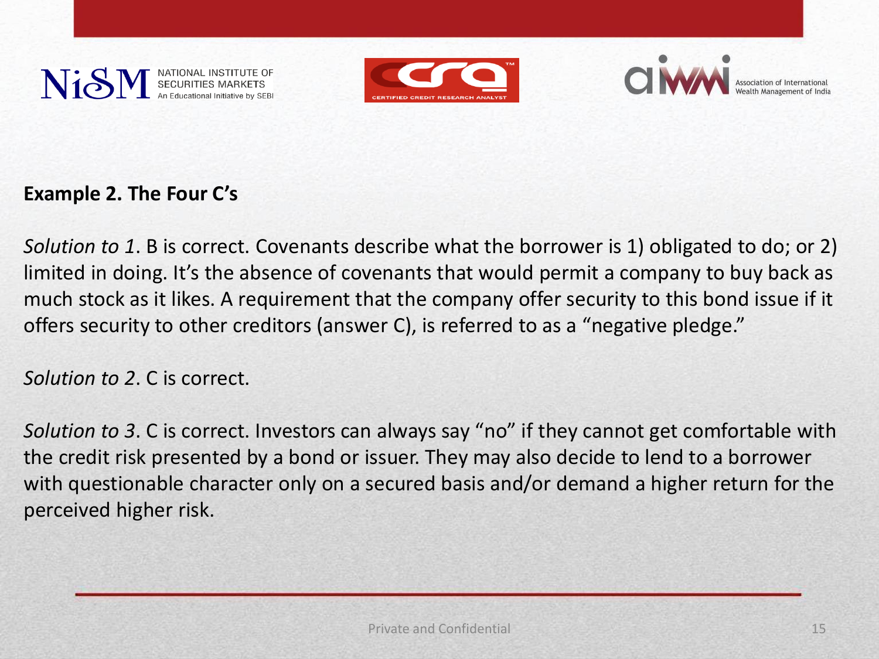





### **Example 2. The Four C's**

*Solution to 1*. B is correct. Covenants describe what the borrower is 1) obligated to do; or 2) limited in doing. It's the absence of covenants that would permit a company to buy back as much stock as it likes. A requirement that the company offer security to this bond issue if it offers security to other creditors (answer C), is referred to as a "negative pledge."

*Solution to 2*. C is correct.

*Solution to 3*. C is correct. Investors can always say "no" if they cannot get comfortable with the credit risk presented by a bond or issuer. They may also decide to lend to a borrower with questionable character only on a secured basis and/or demand a higher return for the perceived higher risk.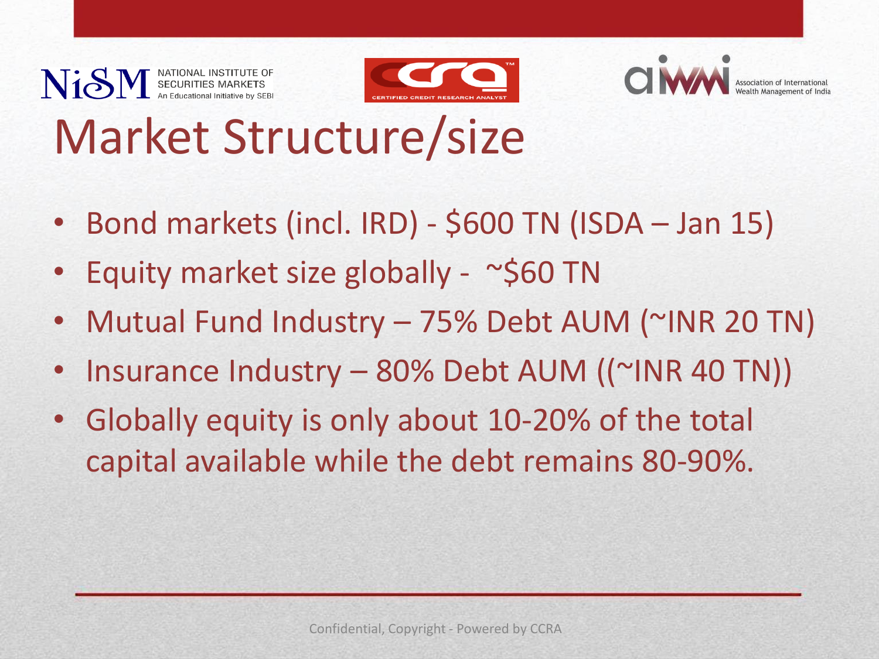



## Market Structure/size

- Bond markets (incl. IRD) \$600 TN (ISDA Jan 15)
- Equity market size globally ~\$60 TN
- Mutual Fund Industry 75% Debt AUM (~INR 20 TN)
- Insurance Industry 80% Debt AUM ((~INR 40 TN))
- Globally equity is only about 10-20% of the total capital available while the debt remains 80-90%.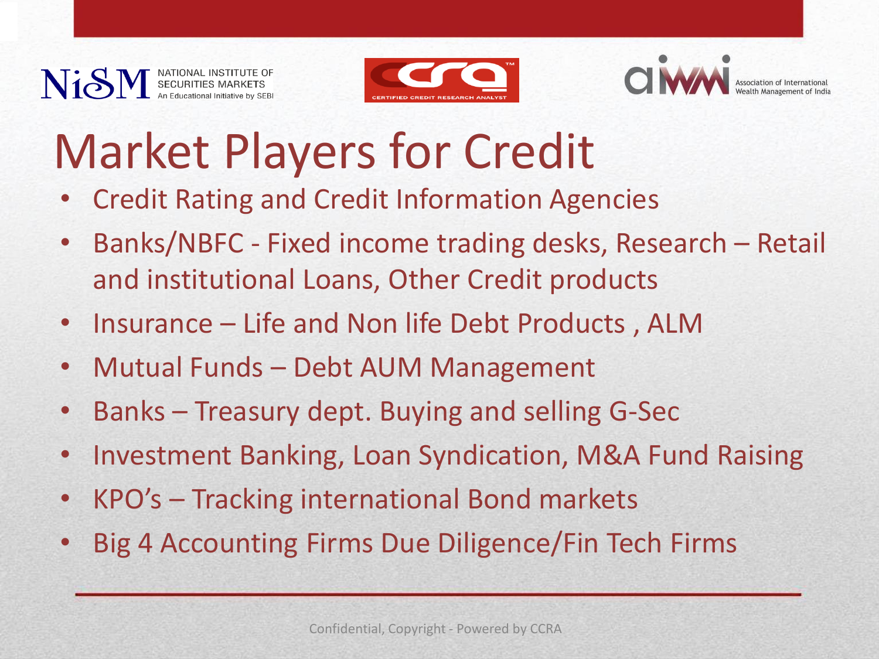



## Market Players for Credit

- Credit Rating and Credit Information Agencies
- Banks/NBFC Fixed income trading desks, Research Retail and institutional Loans, Other Credit products
- Insurance Life and Non life Debt Products, ALM
- Mutual Funds Debt AUM Management
- Banks Treasury dept. Buying and selling G-Sec
- Investment Banking, Loan Syndication, M&A Fund Raising
- KPO's Tracking international Bond markets
- Big 4 Accounting Firms Due Diligence/Fin Tech Firms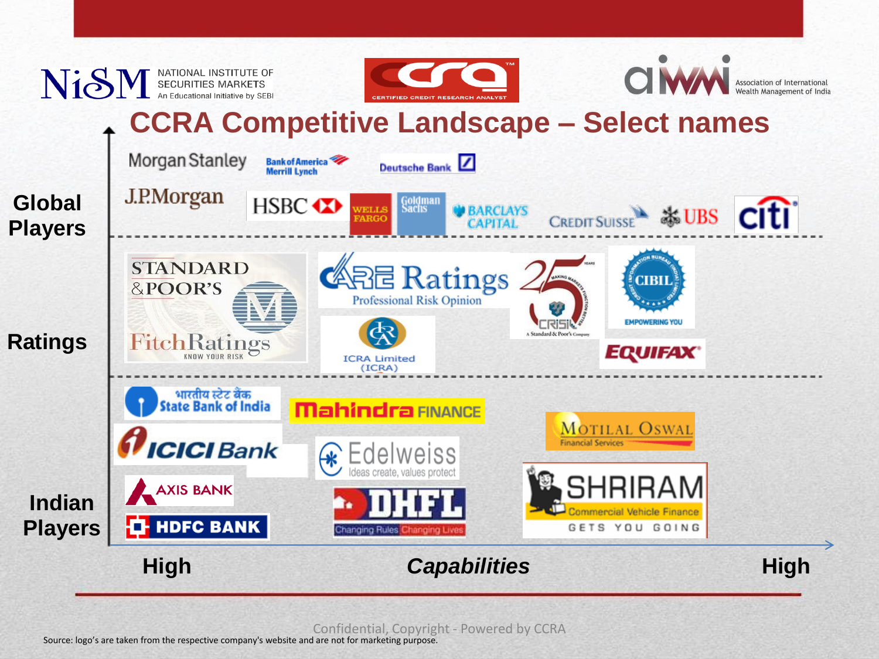

Confidential, Copyright - Powered by CCRA

Source: logo's are taken from the respective company's website and are not for marketing purpose.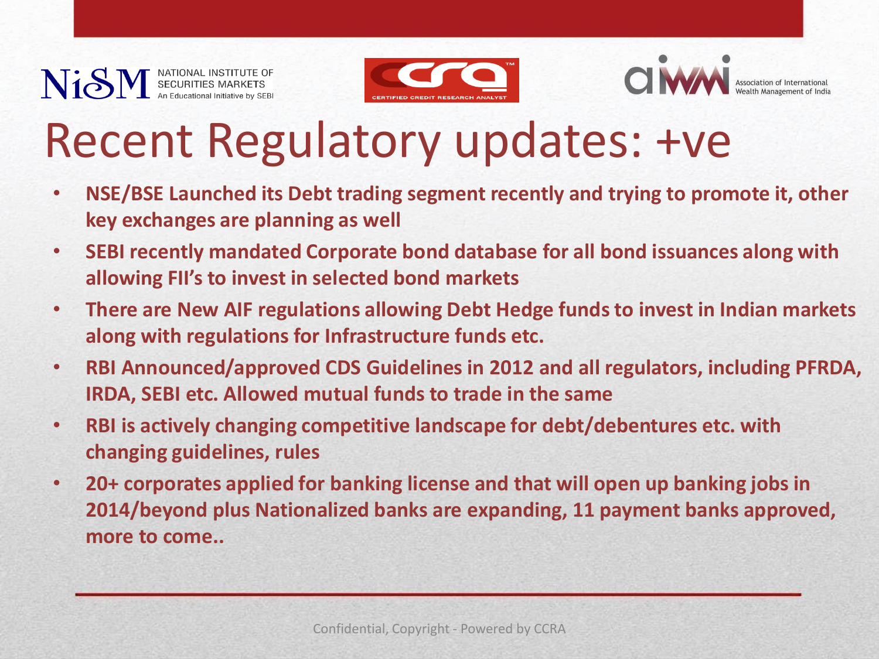



## Recent Regulatory updates: +ve

- **NSE/BSE Launched its Debt trading segment recently and trying to promote it, other key exchanges are planning as well**
- **SEBI recently mandated Corporate bond database for all bond issuances along with allowing FII's to invest in selected bond markets**
- **There are New AIF regulations allowing Debt Hedge funds to invest in Indian markets along with regulations for Infrastructure funds etc.**
- **RBI Announced/approved CDS Guidelines in 2012 and all regulators, including PFRDA, IRDA, SEBI etc. Allowed mutual funds to trade in the same**
- **RBI is actively changing competitive landscape for debt/debentures etc. with changing guidelines, rules**
- **20+ corporates applied for banking license and that will open up banking jobs in 2014/beyond plus Nationalized banks are expanding, 11 payment banks approved, more to come..**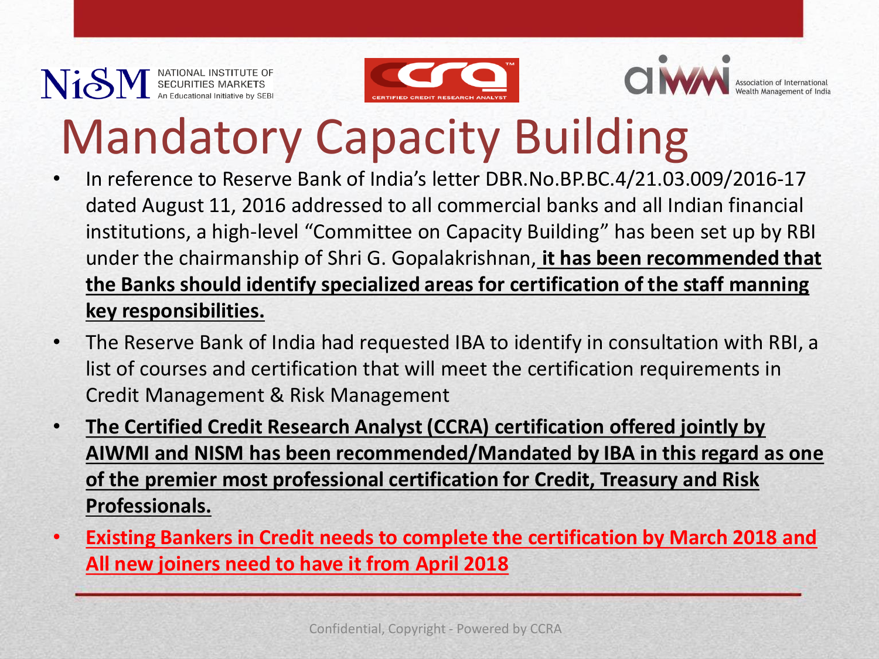





## Mandatory Capacity Building

- In reference to Reserve Bank of India's letter DBR.No.BP.BC.4/21.03.009/2016-17 dated August 11, 2016 addressed to all commercial banks and all Indian financial institutions, a high-level "Committee on Capacity Building" has been set up by RBI under the chairmanship of Shri G. Gopalakrishnan, **it has been recommended that the Banks should identify specialized areas for certification of the staff manning key responsibilities.**
- The Reserve Bank of India had requested IBA to identify in consultation with RBI, a list of courses and certification that will meet the certification requirements in Credit Management & Risk Management
- **The Certified Credit Research Analyst (CCRA) certification offered jointly by AIWMI and NISM has been recommended/Mandated by IBA in this regard as one of the premier most professional certification for Credit, Treasury and Risk Professionals.**
- **Existing Bankers in Credit needs to complete the certification by March 2018 and All new joiners need to have it from April 2018**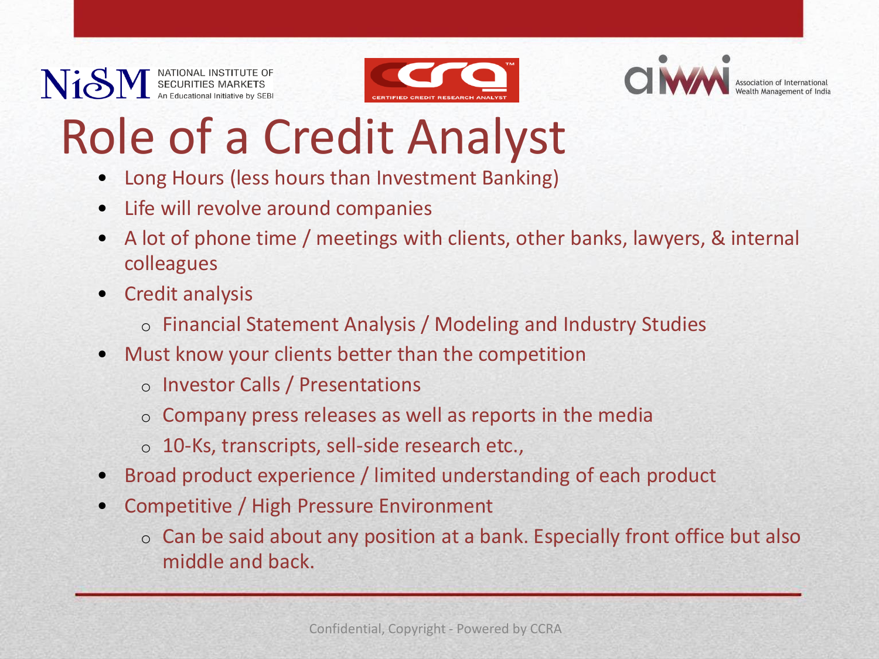



## Role of a Credit Analyst

- Long Hours (less hours than Investment Banking)
- Life will revolve around companies
- A lot of phone time / meetings with clients, other banks, lawyers, & internal colleagues
- Credit analysis
	- o Financial Statement Analysis / Modeling and Industry Studies
- Must know your clients better than the competition
	- o Investor Calls / Presentations
	- o Company press releases as well as reports in the media
	- o 10-Ks, transcripts, sell-side research etc.,
- Broad product experience / limited understanding of each product
- Competitive / High Pressure Environment
	- o Can be said about any position at a bank. Especially front office but also middle and back.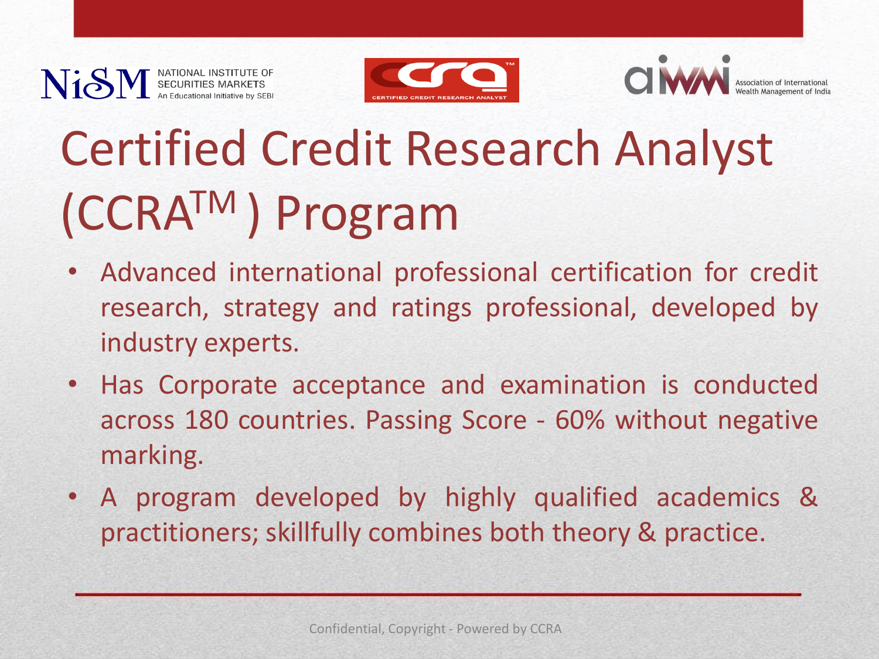





# Certified Credit Research Analyst (CCRATM ) Program

- Advanced international professional certification for credit research, strategy and ratings professional, developed by industry experts.
- Has Corporate acceptance and examination is conducted across 180 countries. Passing Score - 60% without negative marking.
- A program developed by highly qualified academics & practitioners; skillfully combines both theory & practice.